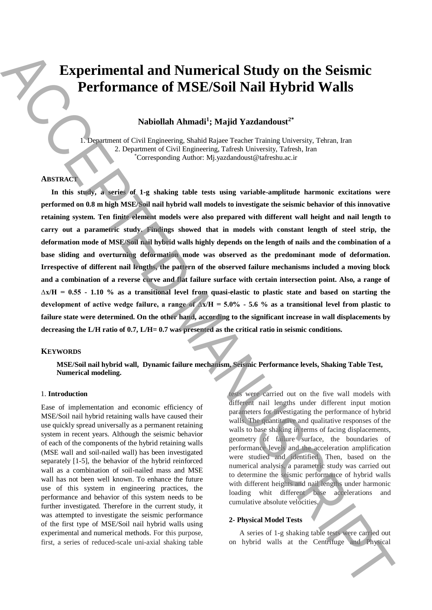# **Experimental and Numerical Study on the Seismic Performance of MSE/Soil Nail Hybrid Walls**

# **Nabiollah Ahmadi<sup>1</sup> ; Majid Yazdandoust2\***

1. Department of Civil Engineering, Shahid Rajaee Teacher Training University, Tehran, Iran 2. Department of Civil Engineering, Tafresh University, Tafresh, Iran \*Corresponding Author: Mj.yazdandoust@tafreshu.ac.ir

### **ABSTRACT**

**In this study, a series of 1-g shaking table tests using variable-amplitude harmonic excitations were performed on 0.8 m high MSE/Soil nail hybrid wall models to investigate the seismic behavior of this innovative retaining system. Ten finite element models were also prepared with different wall height and nail length to carry out a parametric study. Findings showed that in models with constant length of steel strip, the deformation mode of MSE/Soil nail hybrid walls highly depends on the length of nails and the combination of a base sliding and overturning deformation mode was observed as the predominant mode of deformation. Irrespective of different nail lengths, the pattern of the observed failure mechanisms included a moving block and a combination of a reverse curve and flat failure surface with certain intersection point. Also, a range of ∆x/H = 0.55 - 1.10 % as a transitional level from quasi-elastic to plastic state and based on starting the development of active wedge failure, a range of ∆x/H = 5.0% - 5.6 % as a transitional level from plastic to failure state were determined. On the other hand, according to the significant increase in wall displacements by decreasing the L/H ratio of 0.7, L/H= 0.7 was presented as the critical ratio in seismic conditions.** Experimental and Numerical Study on the Scismic<br>
Performance of MSE/Soil Nail Hybrid Walls<br>
Notice and Northern Centrifuge and Solid Research (and European Centrifuge and Solid Research (and European Centrifuge and Centri

#### **KEYWORDS**

**MSE/Soil nail hybrid wall, Dynamic failure mechanism, Seismic Performance levels, Shaking Table Test, Numerical modeling.**

#### 1. **Introduction**

Ease of implementation and economic efficiency of MSE/Soil nail hybrid retaining walls have caused their use quickly spread universally as a permanent retaining system in recent years. Although the seismic behavior of each of the components of the hybrid retaining walls (MSE wall and soil-nailed wall) has been investigated separately [1-5], the behavior of the hybrid reinforced wall as a combination of soil-nailed mass and MSE wall has not been well known. To enhance the future use of this system in engineering practices, the performance and behavior of this system needs to be further investigated. Therefore in the current study, it was attempted to investigate the seismic performance of the first type of MSE/Soil nail hybrid walls using experimental and numerical methods. For this purpose, first, a series of reduced-scale uni-axial shaking table

tests were carried out on the five wall models with different nail lengths under different input motion parameters for investigating the performance of hybrid walls. The quantitative and qualitative responses of the walls to base shaking in terms of facing displacements, geometry of failure surface, the boundaries of performance levels and the acceleration amplification were studied and identified. Then, based on the numerical analysis, a parametric study was carried out to determine the seismic performance of hybrid walls with different heights and nail lengths under harmonic loading whit different base accelerations and cumulative absolute velocities.

#### **2- Physical Model Tests**

A series of 1-g shaking table tests were carried out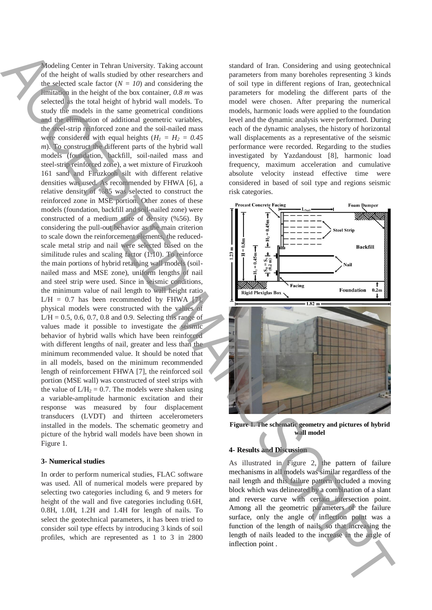Modeling Center in Tehran University. Taking account of the height of walls studied by other researchers and the selected scale factor  $(N = 10)$  and considering the limitation in the height of the box container, *0.8 m* was selected as the total height of hybrid wall models. To study the models in the same geometrical conditions and the elimination of additional geometric variables, the steel-strip reinforced zone and the soil-nailed mass were considered with equal heights ( $H_1 = H_2 = 0.45$ *m*). To construct the different parts of the hybrid wall models (foundation, backfill, soil-nailed mass and steel-strip reinforced zone), a wet mixture of Firuzkooh 161 sand and Firuzkooh silt with different relative densities was used. As recommended by FHWA [6], a relative density of %85 was selected to construct the reinforced zone in MSE portion. Other zones of these models (foundation, backfill and soil-nailed zone) were constructed of a medium state of density (%56). By considering the pull-out behavior as the main criterion to scale down the reinforcement elements, the reducedscale metal strip and nail were selected based on the similitude rules and scaling factor (1:10). To reinforce the main portions of hybrid retaining wall models (soilnailed mass and MSE zone), uniform lengths of nail and steel strip were used. Since in seismic conditions, the minimum value of nail length to wall height ratio  $L/H = 0.7$  has been recommended by FHWA [7] physical models were constructed with the values of  $L/H = 0.5, 0.6, 0.7, 0.8$  and 0.9. Selecting this range of values made it possible to investigate the seismic behavior of hybrid walls which have been reinforced with different lengths of nail, greater and less than the minimum recommended value. It should be noted that in all models, based on the minimum recommended length of reinforcement FHWA [7], the reinforced soil portion (MSE wall) was constructed of steel strips with the value of  $L/H_2 = 0.7$ . The models were shaken using a variable-amplitude harmonic excitation and their response was measured by four displacement transducers (LVDT) and thirteen accelerometers installed in the models. The schematic geometry and picture of the hybrid wall models have been shown in Figure 1. Analysis Contribution of Fourier and the context of the basis of the matrix of the matrix of the same of the basis of the same of the same of the same of the same of the same of the same of the same of the same of the sam

#### **3- Numerical studies**

In order to perform numerical studies, FLAC software was used. All of numerical models were prepared by selecting two categories including 6, and 9 meters for height of the wall and five categories including 0.6H, 0.8H, 1.0H, 1.2H and 1.4H for length of nails. To select the geotechnical parameters, it has been tried to consider soil type effects by introducing 3 kinds of soil profiles, which are represented as 1 to 3 in 2800 standard of Iran. Considering and using geotechnical parameters from many boreholes representing 3 kinds of soil type in different regions of Iran, geotechnical parameters for modeling the different parts of the model were chosen. After preparing the numerical models, harmonic loads were applied to the foundation level and the dynamic analysis were performed. During each of the dynamic analyses, the history of horizontal wall displacements as a representative of the seismic performance were recorded. Regarding to the studies investigated by Yazdandoust [8], harmonic load frequency, maximum acceleration and cumulative absolute velocity instead effective time were considered in based of soil type and regions seismic risk categories.



**Figure 1. The schematic geometry and pictures of hybrid wall model**

## **4- Results and Discussion**

As illustrated in Figure 2, the pattern of failure mechanisms in all models was similar regardless of the nail length and this failure pattern included a moving block which was delineated by a combination of a slant and reverse curve with certain intersection point. Among all the geometric parameters of the failure surface, only the angle of inflection point was a function of the length of nails, so that increasing the length of nails leaded to the increase in the angle of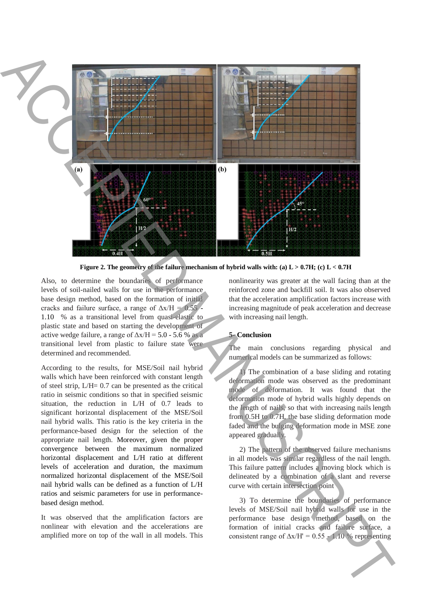

**Figure 2. The geometry of the failure mechanism of hybrid walls with: (a) L > 0.7H; (c) L < 0.7H**

Also, to determine the boundaries of performance levels of soil-nailed walls for use in the performance base design method, based on the formation of initial cracks and failure surface, a range of  $\Delta x/H = 0.55$ . 1.10 % as a transitional level from quasi-elastic to plastic state and based on starting the development of active wedge failure, a range of  $\Delta x/H = 5.0 - 5.6$  % as a transitional level from plastic to failure state were determined and recommended.

According to the results, for MSE/Soil nail hybrid walls which have been reinforced with constant length of steel strip, L/H= 0.7 can be presented as the critical ratio in seismic conditions so that in specified seismic situation, the reduction in L/H of 0.7 leads to significant horizontal displacement of the MSE/Soil nail hybrid walls. This ratio is the key criteria in the performance-based design for the selection of the appropriate nail length. Moreover, given the proper convergence between the maximum normalized horizontal displacement and L/H ratio at different levels of acceleration and duration, the maximum normalized horizontal displacement of the MSE/Soil nail hybrid walls can be defined as a function of L/H ratios and seismic parameters for use in performancebased design method.

It was observed that the amplification factors are nonlinear with elevation and the accelerations are amplified more on top of the wall in all models. This nonlinearity was greater at the wall facing than at the reinforced zone and backfill soil. It was also observed that the acceleration amplification factors increase with increasing magnitude of peak acceleration and decrease with increasing nail length.

#### **5- Conclusion**

The main conclusions regarding physical and numerical models can be summarized as follows:

1) The combination of a base sliding and rotating deformation mode was observed as the predominant mode of deformation. It was found that the deformation mode of hybrid walls highly depends on the length of nails, so that with increasing nails length from 0.5H to 0.7H, the base sliding deformation mode faded and the bulging deformation mode in MSE zone appeared gradually.

2) The pattern of the observed failure mechanisms in all models was similar regardless of the nail length. This failure pattern includes a moving block which is delineated by a combination of a slant and reverse curve with certain intersection point

3) To determine the boundaries of performance levels of MSE/Soil nail hybrid walls for use in the performance base design method, based on the formation of initial cracks and failure surface, a